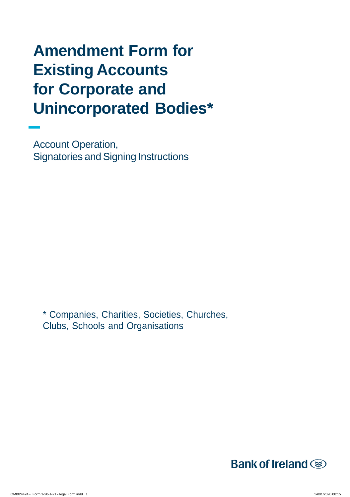# **Amendment Form for Existing Accounts for Corporate and Unincorporated Bodies\***

Account Operation, Signatories and Signing Instructions

\* Companies, Charities, Societies, Churches, Clubs, Schools and Organisations

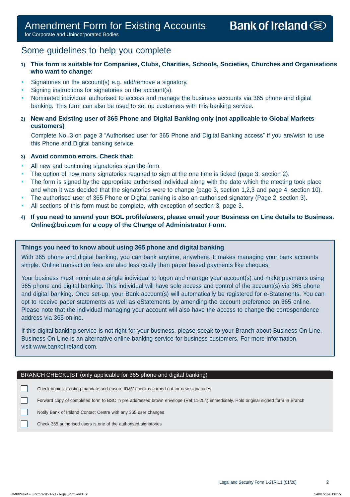# Some guidelines to help you complete

# **1) This form is suitable for Companies, Clubs, Charities, Schools, Societies, Churches and Organisations who want to change:**

- Signatories on the account(s) e.g. add/remove a signatory.
- Signing instructions for signatories on the account(s).
- Nominated individual authorised to access and manage the business accounts via 365 phone and digital banking. This form can also be used to set up customers with this banking service.

# **2) New and Existing user of 365 Phone and Digital Banking only (not applicable to Global Markets customers)**

Complete No. 3 on page 3 "Authorised user for 365 Phone and Digital Banking access" if you are/wish to use this Phone and Digital banking service.

# **3) Avoid common errors. Check that:**

- All new and continuing signatories sign the form.
- The option of how many signatories required to sign at the one time is ticked (page 3, section 2).
- The form is signed by the appropriate authorised individual along with the date which the meeting took place and when it was decided that the signatories were to change (page 3, section 1,2,3 and page 4, section 10).
- The authorised user of 365 Phone or Digital banking is also an authorised signatory (Page 2, section 3).
- All sections of this form must be complete, with exception of section 3, page 3.
- **4) If you need to amend your BOL profile/users, please email your Business on Line details to Business. [Online@boi.com f](mailto:Online@boi.com)or a copy of the Change of Administrator Form.**

## **Things you need to know about using 365 phone and digital banking**

With 365 phone and digital banking, you can bank anytime, anywhere. It makes managing your bank accounts simple. Online transaction fees are also less costly than paper based payments like cheques.

Your business must nominate a single individual to logon and manage your account(s) and make payments using 365 phone and digital banking. This individual will have sole access and control of the account(s) via 365 phone and digital banking. Once set-up, your Bank account(s) will automatically be registered for e-Statements. You can opt to receive paper statements as well as eStatements by amending the account preference on 365 online. Please note that the individual managing your account will also have the access to change the correspondence address via 365 online.

If this digital banking service is not right for your business, please speak to your Branch about Business On Line. Business On Line is an alternative online banking service for business customers. For more information, visit [www.bankofireland.com.](http://www.bankofireland.com/)

## BRANCH CHECKLIST (only applicable for 365 phone and digital banking)

 $\mathbf{I}$ Check against existing mandate and ensure ID&V check is carried out for new signatories

 $\Box$ Forward copy of completed form to BSC in pre addressed brown envelope (Ref:11-254) immediately. Hold original signed form in Branch

П Notify Bank of Ireland Contact Centre with any 365 user changes

Check 365 authorised users is one of the authorised signatories

П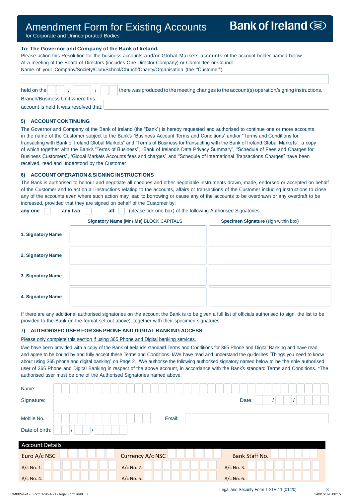# Amendment Form for Existing Accounts Amendment Form for Existing Accounts

for Corporate and Unincorporated Bodies for Corporate and Unincorporated Bodies

#### **To: The Governor and Company of the Bank of Ireland.**

Please action this Resolution for the business accounts and/or Global Markets accounts of the account holder named below. At a meeting of the Board of Directors (includes One Director Company) or Committee or Council Name of your Company/Society/Club/School/Church/Charity/Organisation (the "Customer"):

| Branch/Business Unit where this                      |  |  |  |  |  |
|------------------------------------------------------|--|--|--|--|--|
| التقصاع امضارا مصمعا لمحارباته المالموالما المستحمدة |  |  |  |  |  |

account is held It was resolved that:

#### **5) ACCOUNT CONTINUING**

The Governor and Company of the Bank of Ireland (the "Bank") is hereby requested and authorised to continue one or more accounts in the name of the Customer subject to the Bank's "Business Account Terms and Conditions" and/or "Terms and Conditions for transacting with Bank of Ireland Global Markets" and "Terms of Business for transacting with the Bank of Ireland Global Markets", a copy of which together with the Bank's "Terms of Business", "Bank of Ireland's Data Privacy Summary", "Schedule of Fees and Charges for Business Customers", "Global Markets Accounts fees and charges" and "Schedule of International Transactions Charges" have been received, read and understood by the Customer.

#### **6) ACCOUNT OPERATION & SIGNING INSTRUCTIONS**

The Bank is authorised to honour and negotiate all cheques and other negotiable instruments drawn, made, endorsed or accepted on behalf of the Customer and to act on all instructions relating to the accounts, affairs or transactions of the Customer including instructions to close any of the accounts even where such action may lead to borrowing or cause any of the accounts to be overdrawn or any overdraft to be increased, provided that they are signed on behalf of the Customer by:

**any one any two all** (please tick one box) of the following Authorised Signatories.

|                   | Signatory Name (Mr / Ms) BLOCK CAPITALS | <b>Specimen Signature (sign within box)</b> |
|-------------------|-----------------------------------------|---------------------------------------------|
| 1. Signatory Name |                                         |                                             |
| 2. Signatory Name |                                         |                                             |
| 3. Signatory Name |                                         |                                             |
| 4. Signatory Name |                                         |                                             |

If there are any additional authorised signatories on the account the Bank is to be given a full list of officials authorised to sign, the list to be provided to the Bank (in the format set out above), together with their specimen signatures.

#### **7) AUTHORISED USER FOR 365 PHONE AND DIGITAL BANKING ACCESS**

Please only complete this section if using 365 Phone and Digital banking services.

I/we have been provided with a copy of the Bank of Ireland's standard Terms and Conditions for 365 Phone and Digital Banking and have read and agree to be bound by and fully accept these Terms and Conditions. I/We have read and understand the guidelines "Things you need to know about using 365 phone and digital banking" on Page 2. I/We authorise the following authorised signatory named below to be the sole authorised user of 365 Phone and Digital Banking in respect of the above account, in accordance with the Bank's standard Terms and Conditions. \*The authorised user must be one of the Authorised Signatories named above.

| Name:                  |                  |                |
|------------------------|------------------|----------------|
| Signature:             |                  | Date:          |
| Mobile No.:            | Email:           |                |
| Date of birth:         |                  |                |
| <b>Account Details</b> |                  |                |
| Euro A/c NSC           | Currency A/c NSC | Bank Staff No. |
| A/c No. 1.             | A/c No. 2.       | A/c No. 3.     |
| A/c No. 4.             | A/c No. 5.       | A/c No. 6.     |